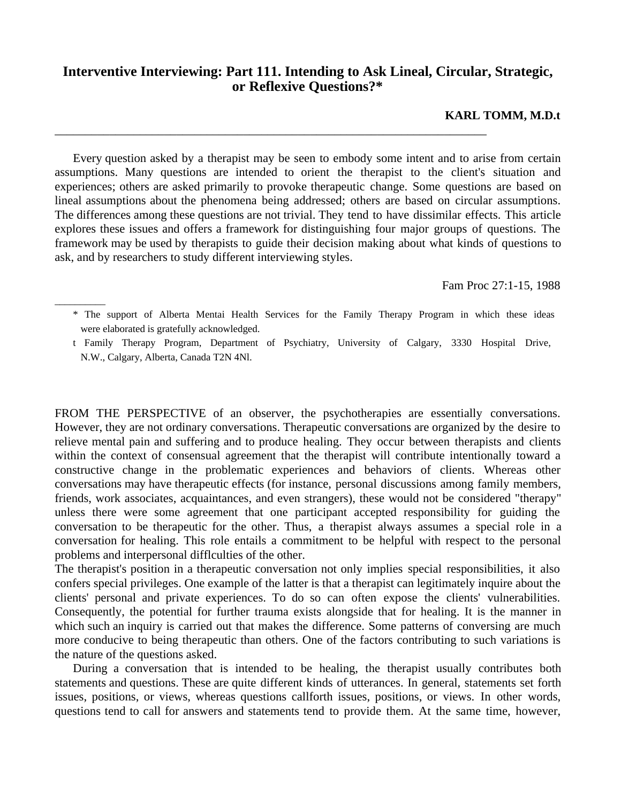# **Interventive Interviewing: Part 111. Intending to Ask Lineal, Circular, Strategic, or Reflexive Questions?\***

\_\_\_\_\_\_\_\_\_\_\_\_\_\_\_\_\_\_\_\_\_\_\_\_\_\_\_\_\_\_\_\_\_\_\_\_\_\_\_\_\_\_\_\_\_\_\_\_\_\_\_\_\_\_\_\_\_\_\_\_\_\_\_\_\_\_\_\_\_\_\_

\_\_\_\_\_\_\_\_\_\_

## **KARL TOMM, M.D.t**

Every question asked by a therapist may be seen to embody some intent and to arise from certain assumptions. Many questions are intended to orient the therapist to the client's situation and experiences; others are asked primarily to provoke therapeutic change. Some questions are based on lineal assumptions about the phenomena being addressed; others are based on circular assumptions. The differences among these questions are not trivial. They tend to have dissimilar effects. This article explores these issues and offers a framework for distinguishing four major groups of questions. The framework may be used by therapists to guide their decision making about what kinds of questions to ask, and by researchers to study different interviewing styles.

Fam Proc 27:1-15, 1988

\* The support of Alberta Mentai Health Services for the Family Therapy Program in which these ideas were elaborated is gratefully acknowledged.

t Family Therapy Program, Department of Psychiatry, University of Calgary, 3330 Hospital Drive, N.W., Calgary, Alberta, Canada T2N 4Nl.

FROM THE PERSPECTIVE of an observer, the psychotherapies are essentially conversations. However, they are not ordinary conversations. Therapeutic conversations are organized by the desire to relieve mental pain and suffering and to produce healing. They occur between therapists and clients within the context of consensual agreement that the therapist will contribute intentionally toward a constructive change in the problematic experiences and behaviors of clients. Whereas other conversations may have therapeutic effects (for instance, personal discussions among family members, friends, work associates, acquaintances, and even strangers), these would not be considered "therapy" unless there were some agreement that one participant accepted responsibility for guiding the conversation to be therapeutic for the other. Thus, a therapist always assumes a special role in a conversation for healing. This role entails a commitment to be helpful with respect to the personal problems and interpersonal difflculties of the other.

The therapist's position in a therapeutic conversation not only implies special responsibilities, it also confers special privileges. One example of the latter is that a therapist can legitimately inquire about the clients' personal and private experiences. To do so can often expose the clients' vulnerabilities. Consequently, the potential for further trauma exists alongside that for healing. It is the manner in which such an inquiry is carried out that makes the difference. Some patterns of conversing are much more conducive to being therapeutic than others. One of the factors contributing to such variations is the nature of the questions asked.

During a conversation that is intended to be healing, the therapist usually contributes both statements and questions. These are quite different kinds of utterances. In general, statements set forth issues, positions, or views, whereas questions callforth issues, positions, or views. In other words, questions tend to call for answers and statements tend to provide them. At the same time, however,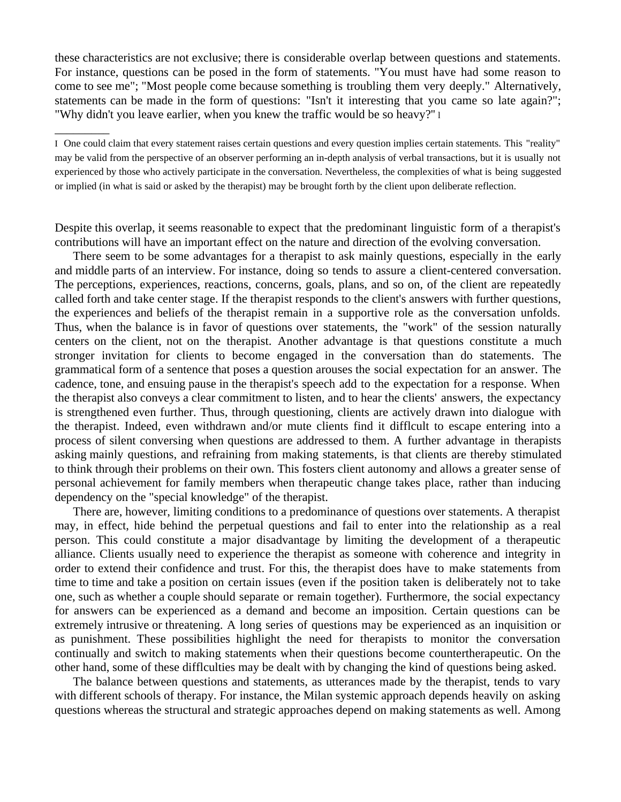these characteristics are not exclusive; there is considerable overlap between questions and statements. For instance, questions can be posed in the form of statements. "You must have had some reason to come to see me"; "Most people come because something is troubling them very deeply." Alternatively, statements can be made in the form of questions: "Isn't it interesting that you came so late again?"; "Why didn't you leave earlier, when you knew the traffic would be so heavy?'' l

I One could claim that every statement raises certain questions and every question implies certain statements. This "reality" may be valid from the perspective of an observer performing an in-depth analysis of verbal transactions, but it is usually not experienced by those who actively participate in the conversation. Nevertheless, the complexities of what is being suggested or implied (in what is said or asked by the therapist) may be brought forth by the client upon deliberate reflection.

 $\overline{\phantom{a}}$  , where  $\overline{\phantom{a}}$ 

Despite this overlap, it seems reasonable to expect that the predominant linguistic form of a therapist's contributions will have an important effect on the nature and direction of the evolving conversation.

There seem to be some advantages for a therapist to ask mainly questions, especially in the early and middle parts of an interview. For instance, doing so tends to assure a client-centered conversation. The perceptions, experiences, reactions, concerns, goals, plans, and so on, of the client are repeatedly called forth and take center stage. If the therapist responds to the client's answers with further questions, the experiences and beliefs of the therapist remain in a supportive role as the conversation unfolds. Thus, when the balance is in favor of questions over statements, the "work" of the session naturally centers on the client, not on the therapist. Another advantage is that questions constitute a much stronger invitation for clients to become engaged in the conversation than do statements. The grammatical form of a sentence that poses a question arouses the social expectation for an answer. The cadence, tone, and ensuing pause in the therapist's speech add to the expectation for a response. When the therapist also conveys a clear commitment to listen, and to hear the clients' answers, the expectancy is strengthened even further. Thus, through questioning, clients are actively drawn into dialogue with the therapist. Indeed, even withdrawn and/or mute clients find it difflcult to escape entering into a process of silent conversing when questions are addressed to them. A further advantage in therapists asking mainly questions, and refraining from making statements, is that clients are thereby stimulated to think through their problems on their own. This fosters client autonomy and allows a greater sense of personal achievement for family members when therapeutic change takes place, rather than inducing dependency on the "special knowledge" of the therapist.

There are, however, limiting conditions to a predominance of questions over statements. A therapist may, in effect, hide behind the perpetual questions and fail to enter into the relationship as a real person. This could constitute a major disadvantage by limiting the development of a therapeutic alliance. Clients usually need to experience the therapist as someone with coherence and integrity in order to extend their confidence and trust. For this, the therapist does have to make statements from time to time and take a position on certain issues (even if the position taken is deliberately not to take one, such as whether a couple should separate or remain together). Furthermore, the social expectancy for answers can be experienced as a demand and become an imposition. Certain questions can be extremely intrusive or threatening. A long series of questions may be experienced as an inquisition or as punishment. These possibilities highlight the need for therapists to monitor the conversation continually and switch to making statements when their questions become countertherapeutic. On the other hand, some of these difflculties may be dealt with by changing the kind of questions being asked.

The balance between questions and statements, as utterances made by the therapist, tends to vary with different schools of therapy. For instance, the Milan systemic approach depends heavily on asking questions whereas the structural and strategic approaches depend on making statements as well. Among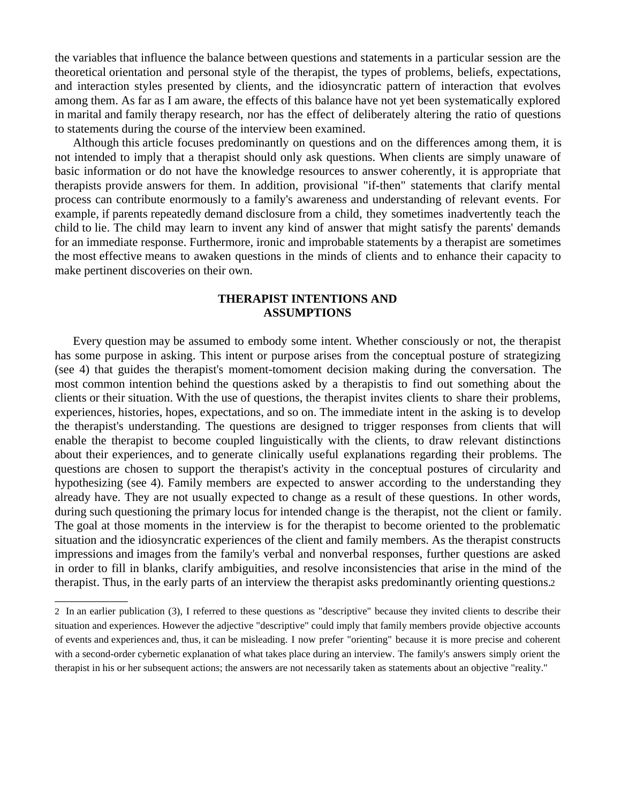the variables that influence the balance between questions and statements in a particular session are the theoretical orientation and personal style of the therapist, the types of problems, beliefs, expectations, and interaction styles presented by clients, and the idiosyncratic pattern of interaction that evolves among them. As far as I am aware, the effects of this balance have not yet been systematically explored in marital and family therapy research, nor has the effect of deliberately altering the ratio of questions to statements during the course of the interview been examined.

Although this article focuses predominantly on questions and on the differences among them, it is not intended to imply that a therapist should only ask questions. When clients are simply unaware of basic information or do not have the knowledge resources to answer coherently, it is appropriate that therapists provide answers for them. In addition, provisional "if-then" statements that clarify mental process can contribute enormously to a family's awareness and understanding of relevant events. For example, if parents repeatedly demand disclosure from a child, they sometimes inadvertently teach the child to lie. The child may learn to invent any kind of answer that might satisfy the parents' demands for an immediate response. Furthermore, ironic and improbable statements by a therapist are sometimes the most effective means to awaken questions in the minds of clients and to enhance their capacity to make pertinent discoveries on their own.

## **THERAPIST INTENTIONS AND ASSUMPTIONS**

Every question may be assumed to embody some intent. Whether consciously or not, the therapist has some purpose in asking. This intent or purpose arises from the conceptual posture of strategizing (see 4) that guides the therapist's moment-tomoment decision making during the conversation. The most common intention behind the questions asked by a therapistis to find out something about the clients or their situation. With the use of questions, the therapist invites clients to share their problems, experiences, histories, hopes, expectations, and so on. The immediate intent in the asking is to develop the therapist's understanding. The questions are designed to trigger responses from clients that will enable the therapist to become coupled linguistically with the clients, to draw relevant distinctions about their experiences, and to generate clinically useful explanations regarding their problems. The questions are chosen to support the therapist's activity in the conceptual postures of circularity and hypothesizing (see 4). Family members are expected to answer according to the understanding they already have. They are not usually expected to change as a result of these questions. In other words, during such questioning the primary locus for intended change is the therapist, not the client or family. The goal at those moments in the interview is for the therapist to become oriented to the problematic situation and the idiosyncratic experiences of the client and family members. As the therapist constructs impressions and images from the family's verbal and nonverbal responses, further questions are asked in order to fill in blanks, clarify ambiguities, and resolve inconsistencies that arise in the mind of the therapist. Thus, in the early parts of an interview the therapist asks predominantly orienting questions.2

\_\_\_\_\_\_\_\_\_\_\_\_

<sup>2</sup> In an earlier publication (3), I referred to these questions as "descriptive" because they invited clients to describe their situation and experiences. However the adjective "descriptive" could imply that family members provide objective accounts of events and experiences and, thus, it can be misleading. I now prefer "orienting" because it is more precise and coherent with a second-order cybernetic explanation of what takes place during an interview. The family's answers simply orient the therapist in his or her subsequent actions; the answers are not necessarily taken as statements about an objective "reality."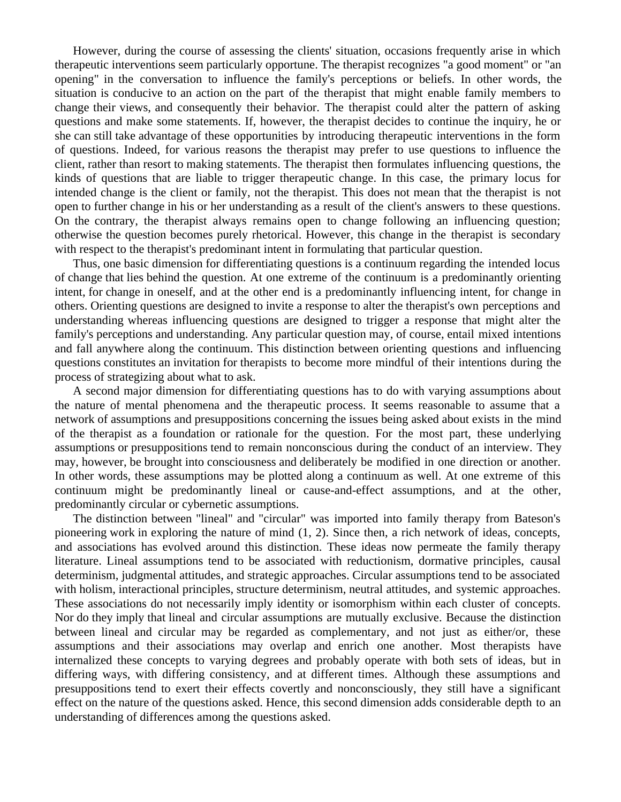However, during the course of assessing the clients' situation, occasions frequently arise in which therapeutic interventions seem particularly opportune. The therapist recognizes "a good moment" or "an opening" in the conversation to influence the family's perceptions or beliefs. In other words, the situation is conducive to an action on the part of the therapist that might enable family members to change their views, and consequently their behavior. The therapist could alter the pattern of asking questions and make some statements. If, however, the therapist decides to continue the inquiry, he or she can still take advantage of these opportunities by introducing therapeutic interventions in the form of questions. Indeed, for various reasons the therapist may prefer to use questions to influence the client, rather than resort to making statements. The therapist then formulates influencing questions, the kinds of questions that are liable to trigger therapeutic change. In this case, the primary locus for intended change is the client or family, not the therapist. This does not mean that the therapist is not open to further change in his or her understanding as a result of the client's answers to these questions. On the contrary, the therapist always remains open to change following an influencing question; otherwise the question becomes purely rhetorical. However, this change in the therapist is secondary with respect to the therapist's predominant intent in formulating that particular question.

Thus, one basic dimension for differentiating questions is a continuum regarding the intended locus of change that lies behind the question. At one extreme of the continuum is a predominantly orienting intent, for change in oneself, and at the other end is a predominantly influencing intent, for change in others. Orienting questions are designed to invite a response to alter the therapist's own perceptions and understanding whereas influencing questions are designed to trigger a response that might alter the family's perceptions and understanding. Any particular question may, of course, entail mixed intentions and fall anywhere along the continuum. This distinction between orienting questions and influencing questions constitutes an invitation for therapists to become more mindful of their intentions during the process of strategizing about what to ask.

A second major dimension for differentiating questions has to do with varying assumptions about the nature of mental phenomena and the therapeutic process. It seems reasonable to assume that a network of assumptions and presuppositions concerning the issues being asked about exists in the mind of the therapist as a foundation or rationale for the question. For the most part, these underlying assumptions or presuppositions tend to remain nonconscious during the conduct of an interview. They may, however, be brought into consciousness and deliberately be modified in one direction or another. In other words, these assumptions may be plotted along a continuum as well. At one extreme of this continuum might be predominantly lineal or cause-and-effect assumptions, and at the other, predominantly circular or cybernetic assumptions.

The distinction between "lineal" and "circular" was imported into family therapy from Bateson's pioneering work in exploring the nature of mind (1, 2). Since then, a rich network of ideas, concepts, and associations has evolved around this distinction. These ideas now permeate the family therapy literature. Lineal assumptions tend to be associated with reductionism, dormative principles, causal determinism, judgmental attitudes, and strategic approaches. Circular assumptions tend to be associated with holism, interactional principles, structure determinism, neutral attitudes, and systemic approaches. These associations do not necessarily imply identity or isomorphism within each cluster of concepts. Nor do they imply that lineal and circular assumptions are mutually exclusive. Because the distinction between lineal and circular may be regarded as complementary, and not just as either/or, these assumptions and their associations may overlap and enrich one another. Most therapists have internalized these concepts to varying degrees and probably operate with both sets of ideas, but in differing ways, with differing consistency, and at different times. Although these assumptions and presuppositions tend to exert their effects covertly and nonconsciously, they still have a significant effect on the nature of the questions asked. Hence, this second dimension adds considerable depth to an understanding of differences among the questions asked.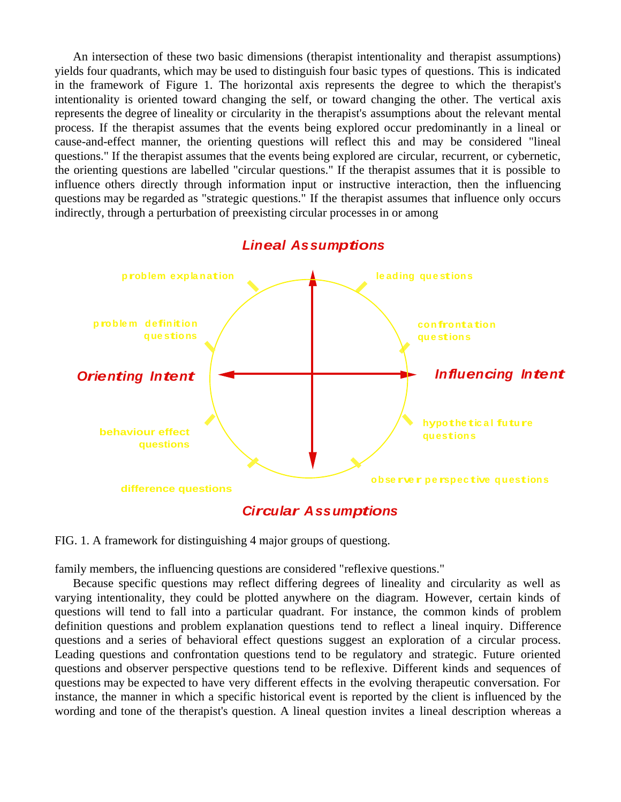An intersection of these two basic dimensions (therapist intentionality and therapist assumptions) yields four quadrants, which may be used to distinguish four basic types of questions. This is indicated in the framework of Figure 1. The horizontal axis represents the degree to which the therapist's intentionality is oriented toward changing the self, or toward changing the other. The vertical axis represents the degree of lineality or circularity in the therapist's assumptions about the relevant mental process. If the therapist assumes that the events being explored occur predominantly in a lineal or cause-and-effect manner, the orienting questions will reflect this and may be considered "lineal questions." If the therapist assumes that the events being explored are circular, recurrent, or cybernetic, the orienting questions are labelled "circular questions." If the therapist assumes that it is possible to influence others directly through information input or instructive interaction, then the influencing questions may be regarded as "strategic questions." If the therapist assumes that influence only occurs indirectly, through a perturbation of preexisting circular processes in or among



# **Lineal Assumptions**

FIG. 1. A framework for distinguishing 4 major groups of questiong.

family members, the influencing questions are considered "reflexive questions."

Because specific questions may reflect differing degrees of lineality and circularity as well as varying intentionality, they could be plotted anywhere on the diagram. However, certain kinds of questions will tend to fall into a particular quadrant. For instance, the common kinds of problem definition questions and problem explanation questions tend to reflect a lineal inquiry. Difference questions and a series of behavioral effect questions suggest an exploration of a circular process. Leading questions and confrontation questions tend to be regulatory and strategic. Future oriented questions and observer perspective questions tend to be reflexive. Different kinds and sequences of questions may be expected to have very different effects in the evolving therapeutic conversation. For instance, the manner in which a specific historical event is reported by the client is influenced by the wording and tone of the therapist's question. A lineal question invites a lineal description whereas a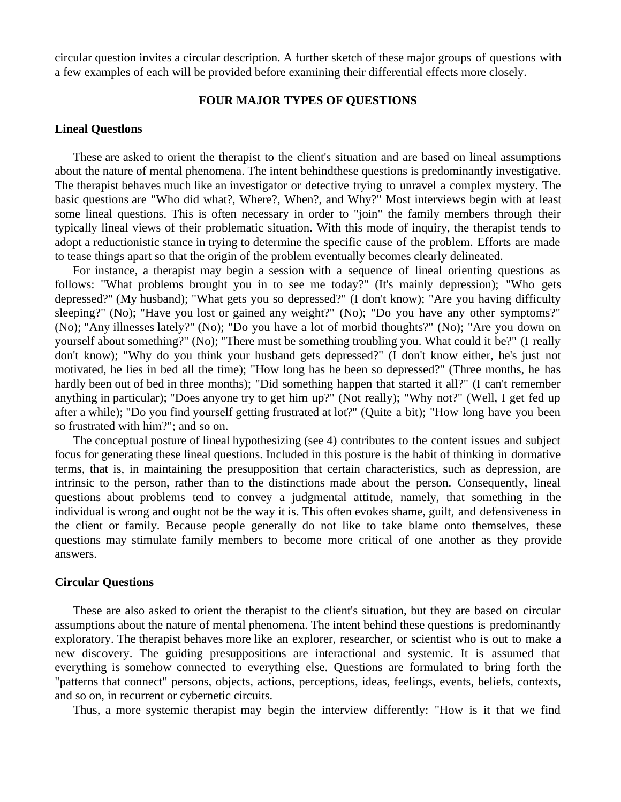circular question invites a circular description. A further sketch of these major groups of questions with a few examples of each will be provided before examining their differential effects more closely.

# **FOUR MAJOR TYPES OF QUESTIONS**

## **Lineal Questlons**

These are asked to orient the therapist to the client's situation and are based on lineal assumptions about the nature of mental phenomena. The intent behindthese questions is predominantly investigative. The therapist behaves much like an investigator or detective trying to unravel a complex mystery. The basic questions are "Who did what?, Where?, When?, and Why?" Most interviews begin with at least some lineal questions. This is often necessary in order to "join" the family members through their typically lineal views of their problematic situation. With this mode of inquiry, the therapist tends to adopt a reductionistic stance in trying to determine the specific cause of the problem. Efforts are made to tease things apart so that the origin of the problem eventually becomes clearly delineated.

For instance, a therapist may begin a session with a sequence of lineal orienting questions as follows: "What problems brought you in to see me today?" (It's mainly depression); "Who gets depressed?" (My husband); "What gets you so depressed?" (I don't know); "Are you having difficulty sleeping?" (No); "Have you lost or gained any weight?" (No); "Do you have any other symptoms?" (No); "Any illnesses lately?" (No); "Do you have a lot of morbid thoughts?" (No); "Are you down on yourself about something?" (No); "There must be something troubling you. What could it be?" (I really don't know); "Why do you think your husband gets depressed?" (I don't know either, he's just not motivated, he lies in bed all the time); "How long has he been so depressed?" (Three months, he has hardly been out of bed in three months); "Did something happen that started it all?" (I can't remember anything in particular); "Does anyone try to get him up?" (Not really); "Why not?" (Well, I get fed up after a while); "Do you find yourself getting frustrated at lot?" (Quite a bit); "How long have you been so frustrated with him?"; and so on.

The conceptual posture of lineal hypothesizing (see 4) contributes to the content issues and subject focus for generating these lineal questions. Included in this posture is the habit of thinking in dormative terms, that is, in maintaining the presupposition that certain characteristics, such as depression, are intrinsic to the person, rather than to the distinctions made about the person. Consequently, lineal questions about problems tend to convey a judgmental attitude, namely, that something in the individual is wrong and ought not be the way it is. This often evokes shame, guilt, and defensiveness in the client or family. Because people generally do not like to take blame onto themselves, these questions may stimulate family members to become more critical of one another as they provide answers.

## **Circular Questions**

These are also asked to orient the therapist to the client's situation, but they are based on circular assumptions about the nature of mental phenomena. The intent behind these questions is predominantly exploratory. The therapist behaves more like an explorer, researcher, or scientist who is out to make a new discovery. The guiding presuppositions are interactional and systemic. It is assumed that everything is somehow connected to everything else. Questions are formulated to bring forth the "patterns that connect" persons, objects, actions, perceptions, ideas, feelings, events, beliefs, contexts, and so on, in recurrent or cybernetic circuits.

Thus, a more systemic therapist may begin the interview differently: "How is it that we find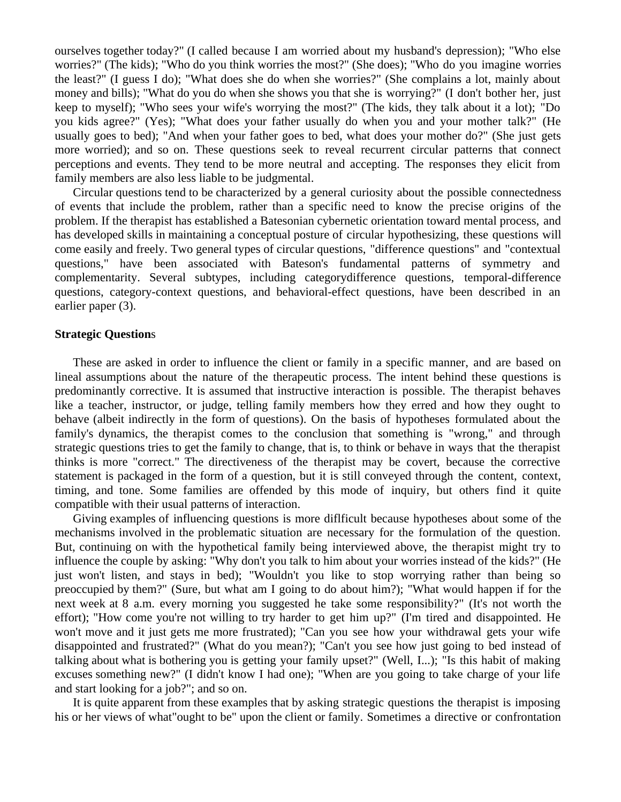ourselves together today?" (I called because I am worried about my husband's depression); "Who else worries?" (The kids); "Who do you think worries the most?" (She does); "Who do you imagine worries the least?" (I guess I do); "What does she do when she worries?" (She complains a lot, mainly about money and bills); "What do you do when she shows you that she is worrying?" (I don't bother her, just keep to myself); "Who sees your wife's worrying the most?" (The kids, they talk about it a lot); "Do you kids agree?" (Yes); "What does your father usually do when you and your mother talk?" (He usually goes to bed); "And when your father goes to bed, what does your mother do?" (She just gets more worried); and so on. These questions seek to reveal recurrent circular patterns that connect perceptions and events. They tend to be more neutral and accepting. The responses they elicit from family members are also less liable to be judgmental.

Circular questions tend to be characterized by a general curiosity about the possible connectedness of events that include the problem, rather than a specific need to know the precise origins of the problem. If the therapist has established a Batesonian cybernetic orientation toward mental process, and has developed skills in maintaining a conceptual posture of circular hypothesizing, these questions will come easily and freely. Two general types of circular questions, "difference questions" and "contextual questions," have been associated with Bateson's fundamental patterns of symmetry and complementarity. Several subtypes, including categorydifference questions, temporal-difference questions, category-context questions, and behavioral-effect questions, have been described in an earlier paper (3).

## **Strategic Question**s

These are asked in order to influence the client or family in a specific manner, and are based on lineal assumptions about the nature of the therapeutic process. The intent behind these questions is predominantly corrective. It is assumed that instructive interaction is possible. The therapist behaves like a teacher, instructor, or judge, telling family members how they erred and how they ought to behave (albeit indirectly in the form of questions). On the basis of hypotheses formulated about the family's dynamics, the therapist comes to the conclusion that something is "wrong," and through strategic questions tries to get the family to change, that is, to think or behave in ways that the therapist thinks is more "correct." The directiveness of the therapist may be covert, because the corrective statement is packaged in the form of a question, but it is still conveyed through the content, context, timing, and tone. Some families are offended by this mode of inquiry, but others find it quite compatible with their usual patterns of interaction.

Giving examples of influencing questions is more diflficult because hypotheses about some of the mechanisms involved in the problematic situation are necessary for the formulation of the question. But, continuing on with the hypothetical family being interviewed above, the therapist might try to influence the couple by asking: "Why don't you talk to him about your worries instead of the kids?" (He just won't listen, and stays in bed); "Wouldn't you like to stop worrying rather than being so preoccupied by them?" (Sure, but what am I going to do about him?); "What would happen if for the next week at 8 a.m. every morning you suggested he take some responsibility?" (It's not worth the effort); "How come you're not willing to try harder to get him up?" (I'm tired and disappointed. He won't move and it just gets me more frustrated); "Can you see how your withdrawal gets your wife disappointed and frustrated?" (What do you mean?); "Can't you see how just going to bed instead of talking about what is bothering you is getting your family upset?" (Well, I...); "Is this habit of making excuses something new?" (I didn't know I had one); "When are you going to take charge of your life and start looking for a job?"; and so on.

It is quite apparent from these examples that by asking strategic questions the therapist is imposing his or her views of what"ought to be" upon the client or family. Sometimes a directive or confrontation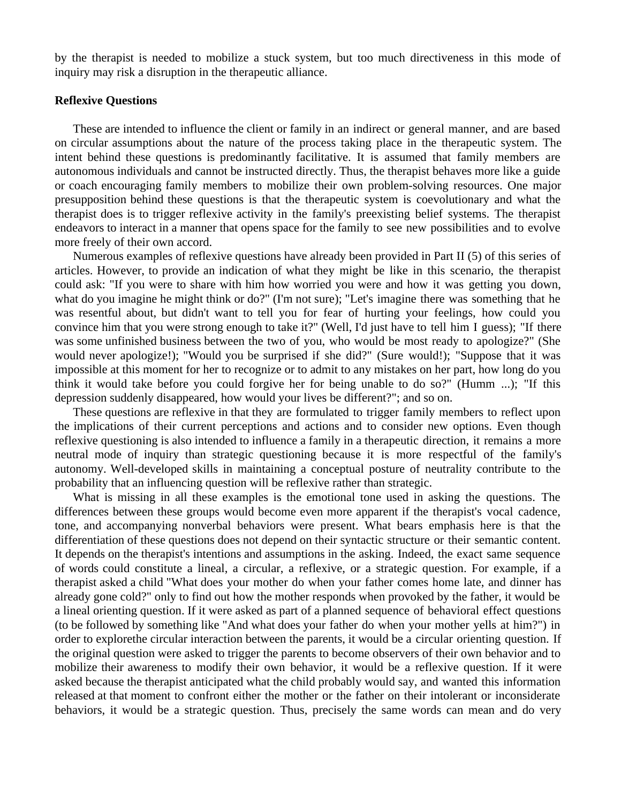by the therapist is needed to mobilize a stuck system, but too much directiveness in this mode of inquiry may risk a disruption in the therapeutic alliance.

## **Reflexive Questions**

These are intended to influence the client or family in an indirect or general manner, and are based on circular assumptions about the nature of the process taking place in the therapeutic system. The intent behind these questions is predominantly facilitative. It is assumed that family members are autonomous individuals and cannot be instructed directly. Thus, the therapist behaves more like a guide or coach encouraging family members to mobilize their own problem-solving resources. One major presupposition behind these questions is that the therapeutic system is coevolutionary and what the therapist does is to trigger reflexive activity in the family's preexisting belief systems. The therapist endeavors to interact in a manner that opens space for the family to see new possibilities and to evolve more freely of their own accord.

Numerous examples of reflexive questions have already been provided in Part II (5) of this series of articles. However, to provide an indication of what they might be like in this scenario, the therapist could ask: "If you were to share with him how worried you were and how it was getting you down, what do you imagine he might think or do?" (I'm not sure); "Let's imagine there was something that he was resentful about, but didn't want to tell you for fear of hurting your feelings, how could you convince him that you were strong enough to take it?" (Well, I'd just have to tell him I guess); "If there was some unfinished business between the two of you, who would be most ready to apologize?" (She would never apologize!); "Would you be surprised if she did?" (Sure would!); "Suppose that it was impossible at this moment for her to recognize or to admit to any mistakes on her part, how long do you think it would take before you could forgive her for being unable to do so?" (Humm ...); "If this depression suddenly disappeared, how would your lives be different?"; and so on.

These questions are reflexive in that they are formulated to trigger family members to reflect upon the implications of their current perceptions and actions and to consider new options. Even though reflexive questioning is also intended to influence a family in a therapeutic direction, it remains a more neutral mode of inquiry than strategic questioning because it is more respectful of the family's autonomy. Well-developed skills in maintaining a conceptual posture of neutrality contribute to the probability that an influencing question will be reflexive rather than strategic.

What is missing in all these examples is the emotional tone used in asking the questions. The differences between these groups would become even more apparent if the therapist's vocal cadence, tone, and accompanying nonverbal behaviors were present. What bears emphasis here is that the differentiation of these questions does not depend on their syntactic structure or their semantic content. It depends on the therapist's intentions and assumptions in the asking. Indeed, the exact same sequence of words could constitute a lineal, a circular, a reflexive, or a strategic question. For example, if a therapist asked a child "What does your mother do when your father comes home late, and dinner has already gone cold?" only to find out how the mother responds when provoked by the father, it would be a lineal orienting question. If it were asked as part of a planned sequence of behavioral effect questions (to be followed by something like "And what does your father do when your mother yells at him?") in order to explorethe circular interaction between the parents, it would be a circular orienting question. If the original question were asked to trigger the parents to become observers of their own behavior and to mobilize their awareness to modify their own behavior, it would be a reflexive question. If it were asked because the therapist anticipated what the child probably would say, and wanted this information released at that moment to confront either the mother or the father on their intolerant or inconsiderate behaviors, it would be a strategic question. Thus, precisely the same words can mean and do very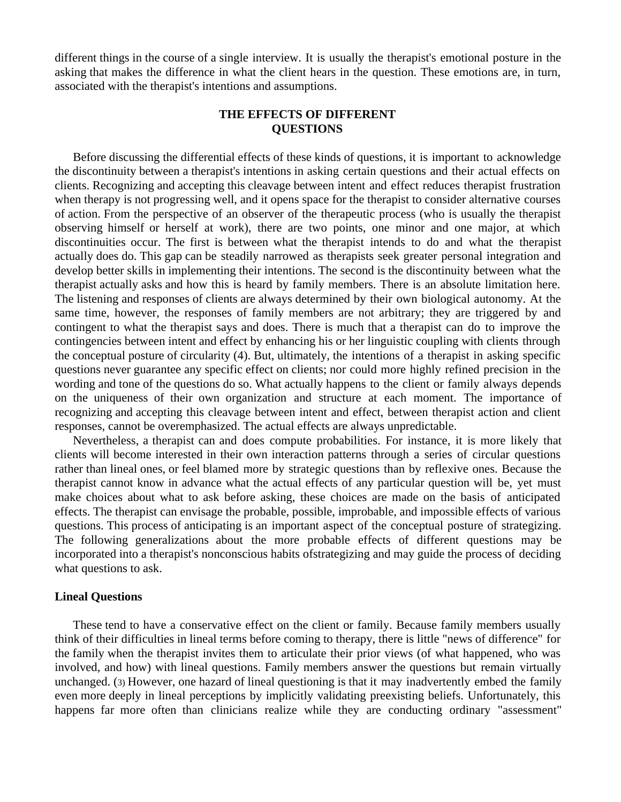different things in the course of a single interview. It is usually the therapist's emotional posture in the asking that makes the difference in what the client hears in the question. These emotions are, in turn, associated with the therapist's intentions and assumptions.

# **THE EFFECTS OF DIFFERENT QUESTIONS**

Before discussing the differential effects of these kinds of questions, it is important to acknowledge the discontinuity between a therapist's intentions in asking certain questions and their actual effects on clients. Recognizing and accepting this cleavage between intent and effect reduces therapist frustration when therapy is not progressing well, and it opens space for the therapist to consider alternative courses of action. From the perspective of an observer of the therapeutic process (who is usually the therapist observing himself or herself at work), there are two points, one minor and one major, at which discontinuities occur. The first is between what the therapist intends to do and what the therapist actually does do. This gap can be steadily narrowed as therapists seek greater personal integration and develop better skills in implementing their intentions. The second is the discontinuity between what the therapist actually asks and how this is heard by family members. There is an absolute limitation here. The listening and responses of clients are always determined by their own biological autonomy. At the same time, however, the responses of family members are not arbitrary; they are triggered by and contingent to what the therapist says and does. There is much that a therapist can do to improve the contingencies between intent and effect by enhancing his or her linguistic coupling with clients through the conceptual posture of circularity (4). But, ultimately, the intentions of a therapist in asking specific questions never guarantee any specific effect on clients; nor could more highly refined precision in the wording and tone of the questions do so. What actually happens to the client or family always depends on the uniqueness of their own organization and structure at each moment. The importance of recognizing and accepting this cleavage between intent and effect, between therapist action and client responses, cannot be overemphasized. The actual effects are always unpredictable.

Nevertheless, a therapist can and does compute probabilities. For instance, it is more likely that clients will become interested in their own interaction patterns through a series of circular questions rather than lineal ones, or feel blamed more by strategic questions than by reflexive ones. Because the therapist cannot know in advance what the actual effects of any particular question will be, yet must make choices about what to ask before asking, these choices are made on the basis of anticipated effects. The therapist can envisage the probable, possible, improbable, and impossible effects of various questions. This process of anticipating is an important aspect of the conceptual posture of strategizing. The following generalizations about the more probable effects of different questions may be incorporated into a therapist's nonconscious habits ofstrategizing and may guide the process of deciding what questions to ask.

## **Lineal Questions**

These tend to have a conservative effect on the client or family. Because family members usually think of their difficulties in lineal terms before coming to therapy, there is little "news of difference" for the family when the therapist invites them to articulate their prior views (of what happened, who was involved, and how) with lineal questions. Family members answer the questions but remain virtually unchanged. (3) However, one hazard of lineal questioning is that it may inadvertently embed the family even more deeply in lineal perceptions by implicitly validating preexisting beliefs. Unfortunately, this happens far more often than clinicians realize while they are conducting ordinary "assessment"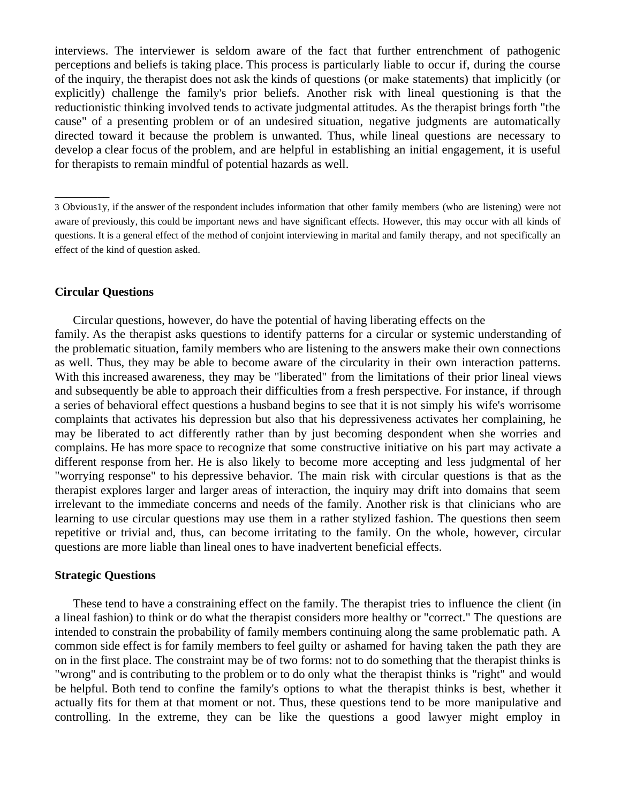interviews. The interviewer is seldom aware of the fact that further entrenchment of pathogenic perceptions and beliefs is taking place. This process is particularly liable to occur if, during the course of the inquiry, the therapist does not ask the kinds of questions (or make statements) that implicitly (or explicitly) challenge the family's prior beliefs. Another risk with lineal questioning is that the reductionistic thinking involved tends to activate judgmental attitudes. As the therapist brings forth "the cause" of a presenting problem or of an undesired situation, negative judgments are automatically directed toward it because the problem is unwanted. Thus, while lineal questions are necessary to develop a clear focus of the problem, and are helpful in establishing an initial engagement, it is useful for therapists to remain mindful of potential hazards as well.

## **Circular Questions**

 $\overline{\phantom{a}}$  , where  $\overline{\phantom{a}}$ 

Circular questions, however, do have the potential of having liberating effects on the family. As the therapist asks questions to identify patterns for a circular or systemic understanding of the problematic situation, family members who are listening to the answers make their own connections as well. Thus, they may be able to become aware of the circularity in their own interaction patterns. With this increased awareness, they may be "liberated" from the limitations of their prior lineal views and subsequently be able to approach their difficulties from a fresh perspective. For instance, if through a series of behavioral effect questions a husband begins to see that it is not simply his wife's worrisome complaints that activates his depression but also that his depressiveness activates her complaining, he may be liberated to act differently rather than by just becoming despondent when she worries and complains. He has more space to recognize that some constructive initiative on his part may activate a different response from her. He is also likely to become more accepting and less judgmental of her "worrying response" to his depressive behavior. The main risk with circular questions is that as the therapist explores larger and larger areas of interaction, the inquiry may drift into domains that seem irrelevant to the immediate concerns and needs of the family. Another risk is that clinicians who are learning to use circular questions may use them in a rather stylized fashion. The questions then seem repetitive or trivial and, thus, can become irritating to the family. On the whole, however, circular questions are more liable than lineal ones to have inadvertent beneficial effects.

#### **Strategic Questions**

These tend to have a constraining effect on the family. The therapist tries to influence the client (in a lineal fashion) to think or do what the therapist considers more healthy or "correct." The questions are intended to constrain the probability of family members continuing along the same problematic path. A common side effect is for family members to feel guilty or ashamed for having taken the path they are on in the first place. The constraint may be of two forms: not to do something that the therapist thinks is "wrong" and is contributing to the problem or to do only what the therapist thinks is "right" and would be helpful. Both tend to confine the family's options to what the therapist thinks is best, whether it actually fits for them at that moment or not. Thus, these questions tend to be more manipulative and controlling. In the extreme, they can be like the questions a good lawyer might employ in

<sup>3</sup> Obvious1y, if the answer of the respondent includes information that other family members (who are listening) were not aware of previously, this could be important news and have significant effects. However, this may occur with all kinds of questions. It is a general effect of the method of conjoint interviewing in marital and family therapy, and not specifically an effect of the kind of question asked.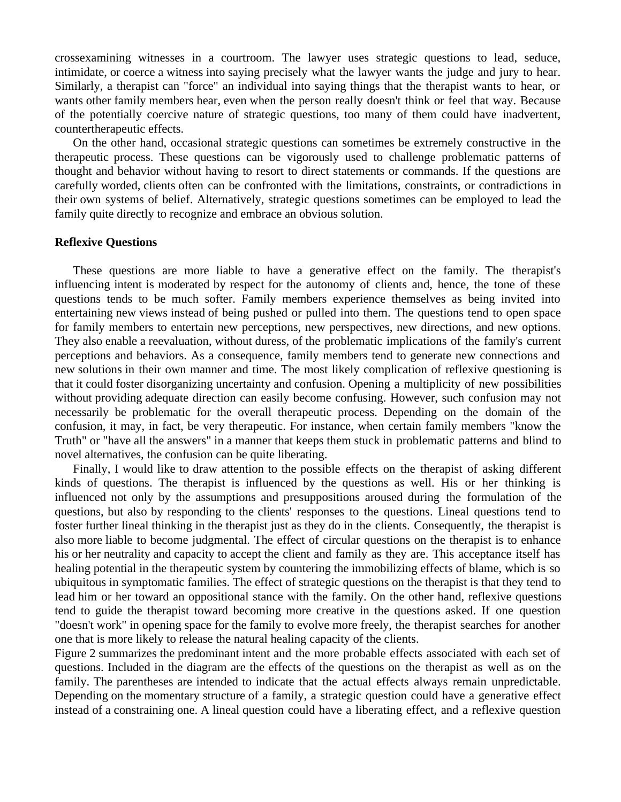crossexamining witnesses in a courtroom. The lawyer uses strategic questions to lead, seduce, intimidate, or coerce a witness into saying precisely what the lawyer wants the judge and jury to hear. Similarly, a therapist can "force" an individual into saying things that the therapist wants to hear, or wants other family members hear, even when the person really doesn't think or feel that way. Because of the potentially coercive nature of strategic questions, too many of them could have inadvertent, countertherapeutic effects.

On the other hand, occasional strategic questions can sometimes be extremely constructive in the therapeutic process. These questions can be vigorously used to challenge problematic patterns of thought and behavior without having to resort to direct statements or commands. If the questions are carefully worded, clients often can be confronted with the limitations, constraints, or contradictions in their own systems of belief. Alternatively, strategic questions sometimes can be employed to lead the family quite directly to recognize and embrace an obvious solution.

## **Reflexive Questions**

These questions are more liable to have a generative effect on the family. The therapist's influencing intent is moderated by respect for the autonomy of clients and, hence, the tone of these questions tends to be much softer. Family members experience themselves as being invited into entertaining new views instead of being pushed or pulled into them. The questions tend to open space for family members to entertain new perceptions, new perspectives, new directions, and new options. They also enable a reevaluation, without duress, of the problematic implications of the family's current perceptions and behaviors. As a consequence, family members tend to generate new connections and new solutions in their own manner and time. The most likely complication of reflexive questioning is that it could foster disorganizing uncertainty and confusion. Opening a multiplicity of new possibilities without providing adequate direction can easily become confusing. However, such confusion may not necessarily be problematic for the overall therapeutic process. Depending on the domain of the confusion, it may, in fact, be very therapeutic. For instance, when certain family members "know the Truth" or "have all the answers" in a manner that keeps them stuck in problematic patterns and blind to novel alternatives, the confusion can be quite liberating.

Finally, I would like to draw attention to the possible effects on the therapist of asking different kinds of questions. The therapist is influenced by the questions as well. His or her thinking is influenced not only by the assumptions and presuppositions aroused during the formulation of the questions, but also by responding to the clients' responses to the questions. Lineal questions tend to foster further lineal thinking in the therapist just as they do in the clients. Consequently, the therapist is also more liable to become judgmental. The effect of circular questions on the therapist is to enhance his or her neutrality and capacity to accept the client and family as they are. This acceptance itself has healing potential in the therapeutic system by countering the immobilizing effects of blame, which is so ubiquitous in symptomatic families. The effect of strategic questions on the therapist is that they tend to lead him or her toward an oppositional stance with the family. On the other hand, reflexive questions tend to guide the therapist toward becoming more creative in the questions asked. If one question "doesn't work" in opening space for the family to evolve more freely, the therapist searches for another one that is more likely to release the natural healing capacity of the clients.

Figure 2 summarizes the predominant intent and the more probable effects associated with each set of questions. Included in the diagram are the effects of the questions on the therapist as well as on the family. The parentheses are intended to indicate that the actual effects always remain unpredictable. Depending on the momentary structure of a family, a strategic question could have a generative effect instead of a constraining one. A lineal question could have a liberating effect, and a reflexive question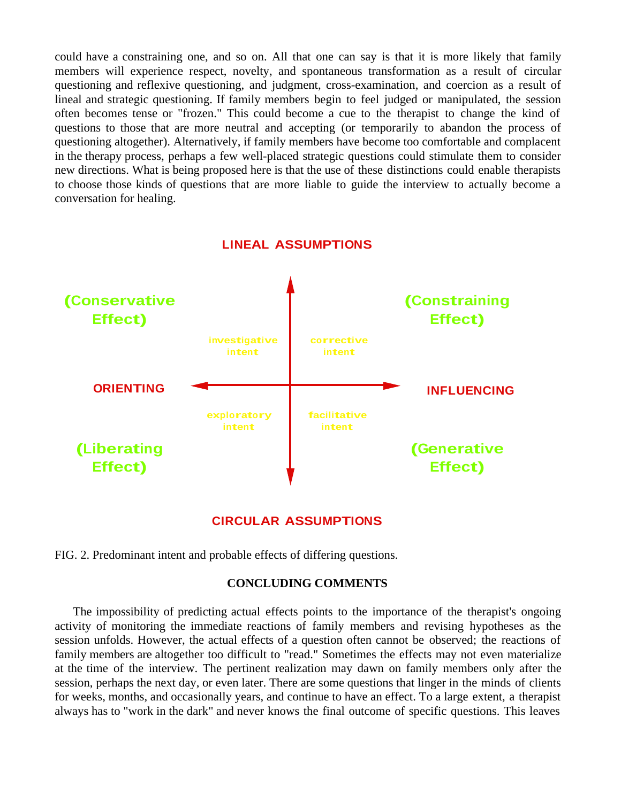could have a constraining one, and so on. All that one can say is that it is more likely that family members will experience respect, novelty, and spontaneous transformation as a result of circular questioning and reflexive questioning, and judgment, cross-examination, and coercion as a result of lineal and strategic questioning. If family members begin to feel judged or manipulated, the session often becomes tense or "frozen." This could become a cue to the therapist to change the kind of questions to those that are more neutral and accepting (or temporarily to abandon the process of questioning altogether). Alternatively, if family members have become too comfortable and complacent in the therapy process, perhaps a few well-placed strategic questions could stimulate them to consider new directions. What is being proposed here is that the use of these distinctions could enable therapists to choose those kinds of questions that are more liable to guide the interview to actually become a conversation for healing.



**LINEAL ASSUMPTIONS**

## **CIRCULAR ASSUMPTIONS**



#### **CONCLUDING COMMENTS**

The impossibility of predicting actual effects points to the importance of the therapist's ongoing activity of monitoring the immediate reactions of family members and revising hypotheses as the session unfolds. However, the actual effects of a question often cannot be observed; the reactions of family members are altogether too difficult to "read." Sometimes the effects may not even materialize at the time of the interview. The pertinent realization may dawn on family members only after the session, perhaps the next day, or even later. There are some questions that linger in the minds of clients for weeks, months, and occasionally years, and continue to have an effect. To a large extent, a therapist always has to "work in the dark" and never knows the final outcome of specific questions. This leaves